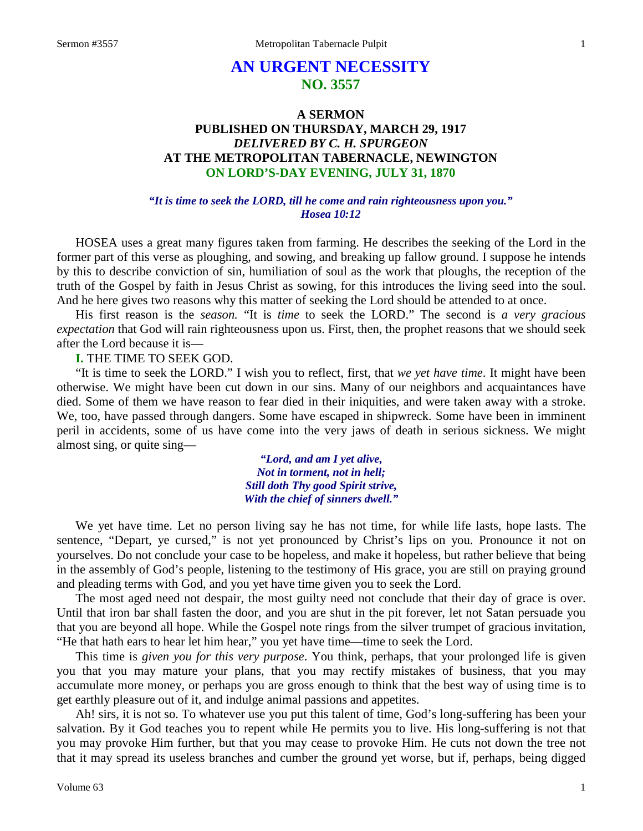# **AN URGENT NECESSITY NO. 3557**

## **A SERMON PUBLISHED ON THURSDAY, MARCH 29, 1917** *DELIVERED BY C. H. SPURGEON* **AT THE METROPOLITAN TABERNACLE, NEWINGTON ON LORD'S-DAY EVENING, JULY 31, 1870**

#### *"It is time to seek the LORD, till he come and rain righteousness upon you." Hosea 10:12*

HOSEA uses a great many figures taken from farming. He describes the seeking of the Lord in the former part of this verse as ploughing, and sowing, and breaking up fallow ground. I suppose he intends by this to describe conviction of sin, humiliation of soul as the work that ploughs, the reception of the truth of the Gospel by faith in Jesus Christ as sowing, for this introduces the living seed into the soul. And he here gives two reasons why this matter of seeking the Lord should be attended to at once.

His first reason is the *season.* "It is *time* to seek the LORD." The second is *a very gracious expectation* that God will rain righteousness upon us. First, then, the prophet reasons that we should seek after the Lord because it is—

**I.** THE TIME TO SEEK GOD.

"It is time to seek the LORD." I wish you to reflect, first, that *we yet have time*. It might have been otherwise. We might have been cut down in our sins. Many of our neighbors and acquaintances have died. Some of them we have reason to fear died in their iniquities, and were taken away with a stroke. We, too, have passed through dangers. Some have escaped in shipwreck. Some have been in imminent peril in accidents, some of us have come into the very jaws of death in serious sickness. We might almost sing, or quite sing—

> *"Lord, and am I yet alive, Not in torment, not in hell; Still doth Thy good Spirit strive, With the chief of sinners dwell."*

We yet have time. Let no person living say he has not time, for while life lasts, hope lasts. The sentence, "Depart, ye cursed," is not yet pronounced by Christ's lips on you. Pronounce it not on yourselves. Do not conclude your case to be hopeless, and make it hopeless, but rather believe that being in the assembly of God's people, listening to the testimony of His grace, you are still on praying ground and pleading terms with God, and you yet have time given you to seek the Lord.

The most aged need not despair, the most guilty need not conclude that their day of grace is over. Until that iron bar shall fasten the door, and you are shut in the pit forever, let not Satan persuade you that you are beyond all hope. While the Gospel note rings from the silver trumpet of gracious invitation, "He that hath ears to hear let him hear," you yet have time—time to seek the Lord.

This time is *given you for this very purpose*. You think, perhaps, that your prolonged life is given you that you may mature your plans, that you may rectify mistakes of business, that you may accumulate more money, or perhaps you are gross enough to think that the best way of using time is to get earthly pleasure out of it, and indulge animal passions and appetites.

Ah! sirs, it is not so. To whatever use you put this talent of time, God's long-suffering has been your salvation. By it God teaches you to repent while He permits you to live. His long-suffering is not that you may provoke Him further, but that you may cease to provoke Him. He cuts not down the tree not that it may spread its useless branches and cumber the ground yet worse, but if, perhaps, being digged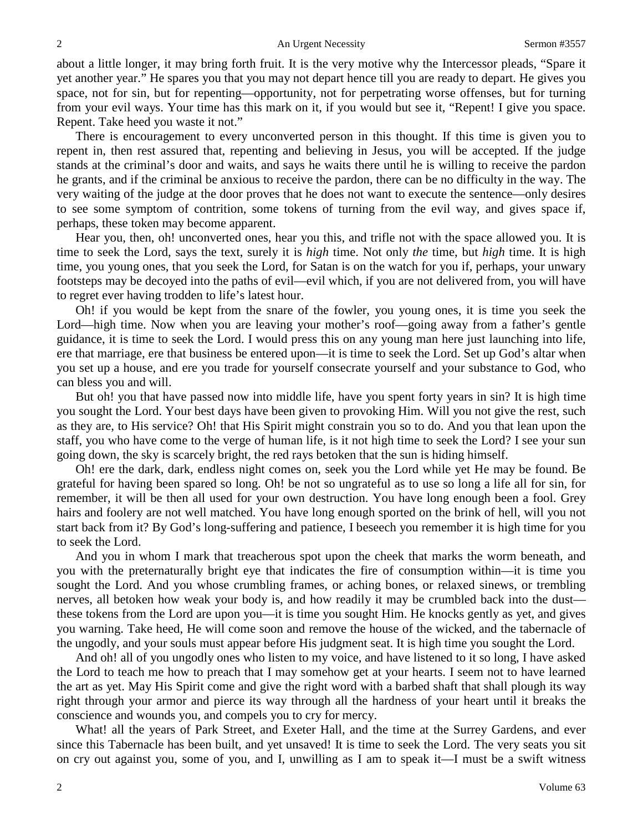about a little longer, it may bring forth fruit. It is the very motive why the Intercessor pleads, "Spare it yet another year." He spares you that you may not depart hence till you are ready to depart. He gives you space, not for sin, but for repenting—opportunity, not for perpetrating worse offenses, but for turning from your evil ways. Your time has this mark on it, if you would but see it, "Repent! I give you space. Repent. Take heed you waste it not."

There is encouragement to every unconverted person in this thought. If this time is given you to repent in, then rest assured that, repenting and believing in Jesus, you will be accepted. If the judge stands at the criminal's door and waits, and says he waits there until he is willing to receive the pardon he grants, and if the criminal be anxious to receive the pardon, there can be no difficulty in the way. The very waiting of the judge at the door proves that he does not want to execute the sentence—only desires to see some symptom of contrition, some tokens of turning from the evil way, and gives space if, perhaps, these token may become apparent.

Hear you, then, oh! unconverted ones, hear you this, and trifle not with the space allowed you. It is time to seek the Lord, says the text, surely it is *high* time. Not only *the* time, but *high* time. It is high time, you young ones, that you seek the Lord, for Satan is on the watch for you if, perhaps, your unwary footsteps may be decoyed into the paths of evil—evil which, if you are not delivered from, you will have to regret ever having trodden to life's latest hour.

Oh! if you would be kept from the snare of the fowler, you young ones, it is time you seek the Lord—high time. Now when you are leaving your mother's roof—going away from a father's gentle guidance, it is time to seek the Lord. I would press this on any young man here just launching into life, ere that marriage, ere that business be entered upon—it is time to seek the Lord. Set up God's altar when you set up a house, and ere you trade for yourself consecrate yourself and your substance to God, who can bless you and will.

But oh! you that have passed now into middle life, have you spent forty years in sin? It is high time you sought the Lord. Your best days have been given to provoking Him. Will you not give the rest, such as they are, to His service? Oh! that His Spirit might constrain you so to do. And you that lean upon the staff, you who have come to the verge of human life, is it not high time to seek the Lord? I see your sun going down, the sky is scarcely bright, the red rays betoken that the sun is hiding himself.

Oh! ere the dark, dark, endless night comes on, seek you the Lord while yet He may be found. Be grateful for having been spared so long. Oh! be not so ungrateful as to use so long a life all for sin, for remember, it will be then all used for your own destruction. You have long enough been a fool. Grey hairs and foolery are not well matched. You have long enough sported on the brink of hell, will you not start back from it? By God's long-suffering and patience, I beseech you remember it is high time for you to seek the Lord.

And you in whom I mark that treacherous spot upon the cheek that marks the worm beneath, and you with the preternaturally bright eye that indicates the fire of consumption within—it is time you sought the Lord. And you whose crumbling frames, or aching bones, or relaxed sinews, or trembling nerves, all betoken how weak your body is, and how readily it may be crumbled back into the dust these tokens from the Lord are upon you—it is time you sought Him. He knocks gently as yet, and gives you warning. Take heed, He will come soon and remove the house of the wicked, and the tabernacle of the ungodly, and your souls must appear before His judgment seat. It is high time you sought the Lord.

And oh! all of you ungodly ones who listen to my voice, and have listened to it so long, I have asked the Lord to teach me how to preach that I may somehow get at your hearts. I seem not to have learned the art as yet. May His Spirit come and give the right word with a barbed shaft that shall plough its way right through your armor and pierce its way through all the hardness of your heart until it breaks the conscience and wounds you, and compels you to cry for mercy.

What! all the years of Park Street, and Exeter Hall, and the time at the Surrey Gardens, and ever since this Tabernacle has been built, and yet unsaved! It is time to seek the Lord. The very seats you sit on cry out against you, some of you, and I, unwilling as I am to speak it—I must be a swift witness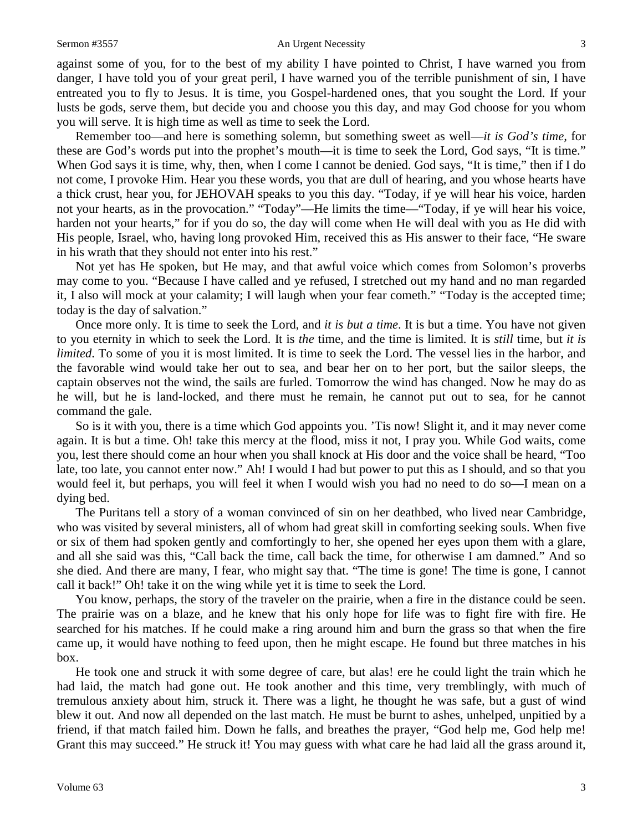#### Sermon #3557 An Urgent Necessity 3

against some of you, for to the best of my ability I have pointed to Christ, I have warned you from danger, I have told you of your great peril, I have warned you of the terrible punishment of sin, I have entreated you to fly to Jesus. It is time, you Gospel-hardened ones, that you sought the Lord. If your lusts be gods, serve them, but decide you and choose you this day, and may God choose for you whom you will serve. It is high time as well as time to seek the Lord.

Remember too—and here is something solemn, but something sweet as well—*it is God's time,* for these are God's words put into the prophet's mouth—it is time to seek the Lord, God says, "It is time." When God says it is time, why, then, when I come I cannot be denied. God says, "It is time," then if I do not come, I provoke Him. Hear you these words, you that are dull of hearing, and you whose hearts have a thick crust, hear you, for JEHOVAH speaks to you this day. "Today, if ye will hear his voice, harden not your hearts, as in the provocation." "Today"—He limits the time—"Today, if ye will hear his voice, harden not your hearts," for if you do so, the day will come when He will deal with you as He did with His people, Israel, who, having long provoked Him, received this as His answer to their face, "He sware in his wrath that they should not enter into his rest."

Not yet has He spoken, but He may, and that awful voice which comes from Solomon's proverbs may come to you. "Because I have called and ye refused, I stretched out my hand and no man regarded it, I also will mock at your calamity; I will laugh when your fear cometh." "Today is the accepted time; today is the day of salvation."

Once more only. It is time to seek the Lord, and *it is but a time*. It is but a time. You have not given to you eternity in which to seek the Lord. It is *the* time, and the time is limited. It is *still* time, but *it is limited*. To some of you it is most limited. It is time to seek the Lord. The vessel lies in the harbor, and the favorable wind would take her out to sea, and bear her on to her port, but the sailor sleeps, the captain observes not the wind, the sails are furled. Tomorrow the wind has changed. Now he may do as he will, but he is land-locked, and there must he remain, he cannot put out to sea, for he cannot command the gale.

So is it with you, there is a time which God appoints you. 'Tis now! Slight it, and it may never come again. It is but a time. Oh! take this mercy at the flood, miss it not, I pray you. While God waits, come you, lest there should come an hour when you shall knock at His door and the voice shall be heard, "Too late, too late, you cannot enter now." Ah! I would I had but power to put this as I should, and so that you would feel it, but perhaps, you will feel it when I would wish you had no need to do so—I mean on a dying bed.

The Puritans tell a story of a woman convinced of sin on her deathbed, who lived near Cambridge, who was visited by several ministers, all of whom had great skill in comforting seeking souls. When five or six of them had spoken gently and comfortingly to her, she opened her eyes upon them with a glare, and all she said was this, "Call back the time, call back the time, for otherwise I am damned." And so she died. And there are many, I fear, who might say that. "The time is gone! The time is gone, I cannot call it back!" Oh! take it on the wing while yet it is time to seek the Lord.

You know, perhaps, the story of the traveler on the prairie, when a fire in the distance could be seen. The prairie was on a blaze, and he knew that his only hope for life was to fight fire with fire. He searched for his matches. If he could make a ring around him and burn the grass so that when the fire came up, it would have nothing to feed upon, then he might escape. He found but three matches in his box.

He took one and struck it with some degree of care, but alas! ere he could light the train which he had laid, the match had gone out. He took another and this time, very tremblingly, with much of tremulous anxiety about him, struck it. There was a light, he thought he was safe, but a gust of wind blew it out. And now all depended on the last match. He must be burnt to ashes, unhelped, unpitied by a friend, if that match failed him. Down he falls, and breathes the prayer, "God help me, God help me! Grant this may succeed." He struck it! You may guess with what care he had laid all the grass around it,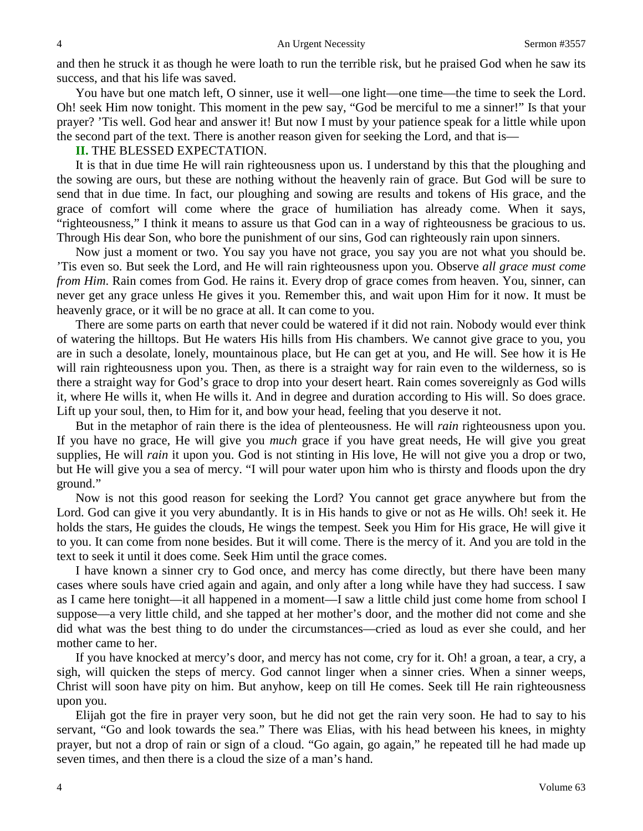and then he struck it as though he were loath to run the terrible risk, but he praised God when he saw its success, and that his life was saved.

You have but one match left, O sinner, use it well—one light—one time—the time to seek the Lord. Oh! seek Him now tonight. This moment in the pew say, "God be merciful to me a sinner!" Is that your prayer? 'Tis well. God hear and answer it! But now I must by your patience speak for a little while upon the second part of the text. There is another reason given for seeking the Lord, and that is—

### **II.** THE BLESSED EXPECTATION.

It is that in due time He will rain righteousness upon us. I understand by this that the ploughing and the sowing are ours, but these are nothing without the heavenly rain of grace. But God will be sure to send that in due time. In fact, our ploughing and sowing are results and tokens of His grace, and the grace of comfort will come where the grace of humiliation has already come. When it says, "righteousness," I think it means to assure us that God can in a way of righteousness be gracious to us. Through His dear Son, who bore the punishment of our sins, God can righteously rain upon sinners.

Now just a moment or two. You say you have not grace, you say you are not what you should be. 'Tis even so. But seek the Lord, and He will rain righteousness upon you. Observe *all grace must come from Him*. Rain comes from God. He rains it. Every drop of grace comes from heaven. You, sinner, can never get any grace unless He gives it you. Remember this, and wait upon Him for it now. It must be heavenly grace, or it will be no grace at all. It can come to you.

There are some parts on earth that never could be watered if it did not rain. Nobody would ever think of watering the hilltops. But He waters His hills from His chambers. We cannot give grace to you, you are in such a desolate, lonely, mountainous place, but He can get at you, and He will. See how it is He will rain righteousness upon you. Then, as there is a straight way for rain even to the wilderness, so is there a straight way for God's grace to drop into your desert heart. Rain comes sovereignly as God wills it, where He wills it, when He wills it. And in degree and duration according to His will. So does grace. Lift up your soul, then, to Him for it, and bow your head, feeling that you deserve it not.

But in the metaphor of rain there is the idea of plenteousness. He will *rain* righteousness upon you. If you have no grace, He will give you *much* grace if you have great needs, He will give you great supplies, He will *rain* it upon you. God is not stinting in His love, He will not give you a drop or two, but He will give you a sea of mercy. "I will pour water upon him who is thirsty and floods upon the dry ground."

Now is not this good reason for seeking the Lord? You cannot get grace anywhere but from the Lord. God can give it you very abundantly. It is in His hands to give or not as He wills. Oh! seek it. He holds the stars, He guides the clouds, He wings the tempest. Seek you Him for His grace, He will give it to you. It can come from none besides. But it will come. There is the mercy of it. And you are told in the text to seek it until it does come. Seek Him until the grace comes.

I have known a sinner cry to God once, and mercy has come directly, but there have been many cases where souls have cried again and again, and only after a long while have they had success. I saw as I came here tonight—it all happened in a moment—I saw a little child just come home from school I suppose—a very little child, and she tapped at her mother's door, and the mother did not come and she did what was the best thing to do under the circumstances—cried as loud as ever she could, and her mother came to her.

If you have knocked at mercy's door, and mercy has not come, cry for it. Oh! a groan, a tear, a cry, a sigh, will quicken the steps of mercy. God cannot linger when a sinner cries. When a sinner weeps, Christ will soon have pity on him. But anyhow, keep on till He comes. Seek till He rain righteousness upon you.

Elijah got the fire in prayer very soon, but he did not get the rain very soon. He had to say to his servant, "Go and look towards the sea." There was Elias, with his head between his knees, in mighty prayer, but not a drop of rain or sign of a cloud. "Go again, go again," he repeated till he had made up seven times, and then there is a cloud the size of a man's hand.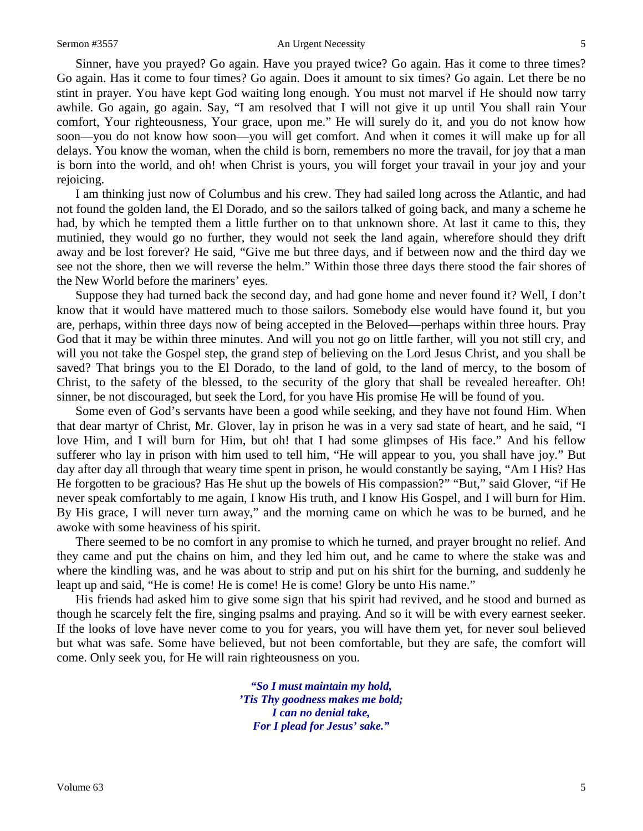#### Sermon #3557 An Urgent Necessity 5

Sinner, have you prayed? Go again. Have you prayed twice? Go again. Has it come to three times? Go again. Has it come to four times? Go again. Does it amount to six times? Go again. Let there be no stint in prayer. You have kept God waiting long enough. You must not marvel if He should now tarry awhile. Go again, go again. Say, "I am resolved that I will not give it up until You shall rain Your comfort, Your righteousness, Your grace, upon me." He will surely do it, and you do not know how soon—you do not know how soon—you will get comfort. And when it comes it will make up for all delays. You know the woman, when the child is born, remembers no more the travail, for joy that a man is born into the world, and oh! when Christ is yours, you will forget your travail in your joy and your rejoicing.

I am thinking just now of Columbus and his crew. They had sailed long across the Atlantic, and had not found the golden land, the El Dorado, and so the sailors talked of going back, and many a scheme he had, by which he tempted them a little further on to that unknown shore. At last it came to this, they mutinied, they would go no further, they would not seek the land again, wherefore should they drift away and be lost forever? He said, "Give me but three days, and if between now and the third day we see not the shore, then we will reverse the helm." Within those three days there stood the fair shores of the New World before the mariners' eyes.

Suppose they had turned back the second day, and had gone home and never found it? Well, I don't know that it would have mattered much to those sailors. Somebody else would have found it, but you are, perhaps, within three days now of being accepted in the Beloved—perhaps within three hours. Pray God that it may be within three minutes. And will you not go on little farther, will you not still cry, and will you not take the Gospel step, the grand step of believing on the Lord Jesus Christ, and you shall be saved? That brings you to the El Dorado, to the land of gold, to the land of mercy, to the bosom of Christ, to the safety of the blessed, to the security of the glory that shall be revealed hereafter. Oh! sinner, be not discouraged, but seek the Lord, for you have His promise He will be found of you.

Some even of God's servants have been a good while seeking, and they have not found Him. When that dear martyr of Christ, Mr. Glover, lay in prison he was in a very sad state of heart, and he said, "I love Him, and I will burn for Him, but oh! that I had some glimpses of His face." And his fellow sufferer who lay in prison with him used to tell him, "He will appear to you, you shall have joy." But day after day all through that weary time spent in prison, he would constantly be saying, "Am I His? Has He forgotten to be gracious? Has He shut up the bowels of His compassion?" "But," said Glover, "if He never speak comfortably to me again, I know His truth, and I know His Gospel, and I will burn for Him. By His grace, I will never turn away," and the morning came on which he was to be burned, and he awoke with some heaviness of his spirit.

There seemed to be no comfort in any promise to which he turned, and prayer brought no relief. And they came and put the chains on him, and they led him out, and he came to where the stake was and where the kindling was, and he was about to strip and put on his shirt for the burning, and suddenly he leapt up and said, "He is come! He is come! He is come! Glory be unto His name."

His friends had asked him to give some sign that his spirit had revived, and he stood and burned as though he scarcely felt the fire, singing psalms and praying. And so it will be with every earnest seeker. If the looks of love have never come to you for years, you will have them yet, for never soul believed but what was safe. Some have believed, but not been comfortable, but they are safe, the comfort will come. Only seek you, for He will rain righteousness on you.

> *"So I must maintain my hold, 'Tis Thy goodness makes me bold; I can no denial take, For I plead for Jesus' sake."*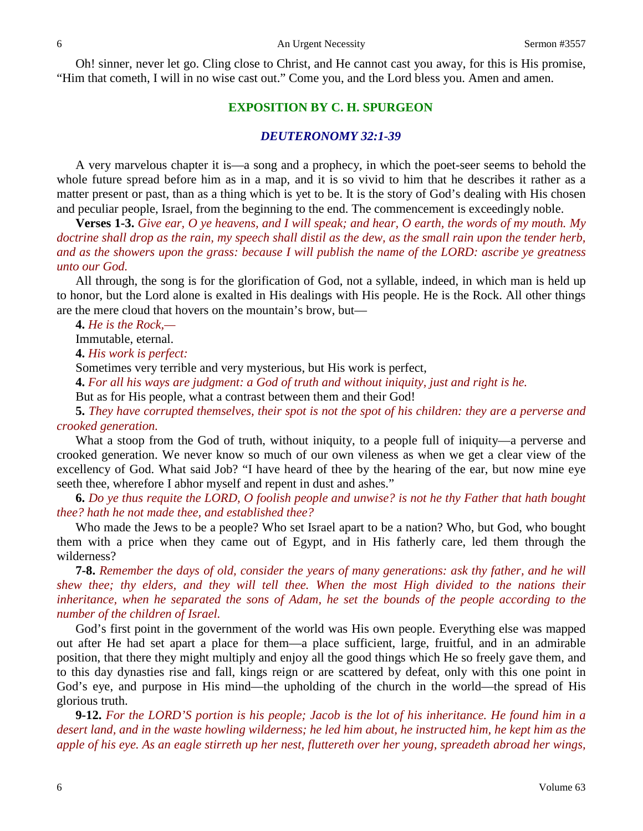Oh! sinner, never let go. Cling close to Christ, and He cannot cast you away, for this is His promise, "Him that cometh, I will in no wise cast out." Come you, and the Lord bless you. Amen and amen.

## **EXPOSITION BY C. H. SPURGEON**

#### *DEUTERONOMY 32:1-39*

A very marvelous chapter it is—a song and a prophecy, in which the poet-seer seems to behold the whole future spread before him as in a map, and it is so vivid to him that he describes it rather as a matter present or past, than as a thing which is yet to be. It is the story of God's dealing with His chosen and peculiar people, Israel, from the beginning to the end. The commencement is exceedingly noble.

**Verses 1-3.** *Give ear, O ye heavens, and I will speak; and hear, O earth, the words of my mouth. My doctrine shall drop as the rain, my speech shall distil as the dew, as the small rain upon the tender herb, and as the showers upon the grass: because I will publish the name of the LORD: ascribe ye greatness unto our God.*

All through, the song is for the glorification of God, not a syllable, indeed, in which man is held up to honor, but the Lord alone is exalted in His dealings with His people. He is the Rock. All other things are the mere cloud that hovers on the mountain's brow, but—

**4.** *He is the Rock,—*

Immutable, eternal.

**4.** *His work is perfect:*

Sometimes very terrible and very mysterious, but His work is perfect,

**4.** *For all his ways are judgment: a God of truth and without iniquity, just and right is he.*

But as for His people, what a contrast between them and their God!

**5.** *They have corrupted themselves, their spot is not the spot of his children: they are a perverse and crooked generation.*

What a stoop from the God of truth, without iniquity, to a people full of iniquity—a perverse and crooked generation. We never know so much of our own vileness as when we get a clear view of the excellency of God. What said Job? "I have heard of thee by the hearing of the ear, but now mine eye seeth thee, wherefore I abhor myself and repent in dust and ashes."

**6.** *Do ye thus requite the LORD, O foolish people and unwise? is not he thy Father that hath bought thee? hath he not made thee, and established thee?* 

Who made the Jews to be a people? Who set Israel apart to be a nation? Who, but God, who bought them with a price when they came out of Egypt, and in His fatherly care, led them through the wilderness?

**7-8.** *Remember the days of old, consider the years of many generations: ask thy father, and he will shew thee; thy elders, and they will tell thee. When the most High divided to the nations their*  inheritance, when he separated the sons of Adam, he set the bounds of the people according to the *number of the children of Israel.* 

God's first point in the government of the world was His own people. Everything else was mapped out after He had set apart a place for them—a place sufficient, large, fruitful, and in an admirable position, that there they might multiply and enjoy all the good things which He so freely gave them, and to this day dynasties rise and fall, kings reign or are scattered by defeat, only with this one point in God's eye, and purpose in His mind—the upholding of the church in the world—the spread of His glorious truth.

**9-12.** *For the LORD'S portion is his people; Jacob is the lot of his inheritance. He found him in a desert land, and in the waste howling wilderness; he led him about, he instructed him, he kept him as the apple of his eye. As an eagle stirreth up her nest, fluttereth over her young, spreadeth abroad her wings,*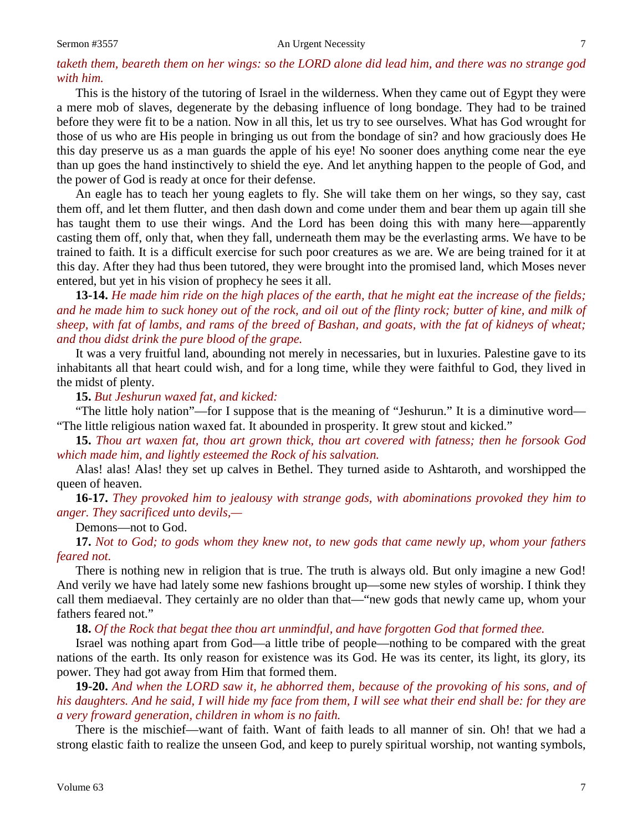#### Sermon #3557 An Urgent Necessity 7

## *taketh them, beareth them on her wings: so the LORD alone did lead him, and there was no strange god with him.*

This is the history of the tutoring of Israel in the wilderness. When they came out of Egypt they were a mere mob of slaves, degenerate by the debasing influence of long bondage. They had to be trained before they were fit to be a nation. Now in all this, let us try to see ourselves. What has God wrought for those of us who are His people in bringing us out from the bondage of sin? and how graciously does He this day preserve us as a man guards the apple of his eye! No sooner does anything come near the eye than up goes the hand instinctively to shield the eye. And let anything happen to the people of God, and the power of God is ready at once for their defense.

An eagle has to teach her young eaglets to fly. She will take them on her wings, so they say, cast them off, and let them flutter, and then dash down and come under them and bear them up again till she has taught them to use their wings. And the Lord has been doing this with many here—apparently casting them off, only that, when they fall, underneath them may be the everlasting arms. We have to be trained to faith. It is a difficult exercise for such poor creatures as we are. We are being trained for it at this day. After they had thus been tutored, they were brought into the promised land, which Moses never entered, but yet in his vision of prophecy he sees it all.

**13-14.** *He made him ride on the high places of the earth, that he might eat the increase of the fields; and he made him to suck honey out of the rock, and oil out of the flinty rock; butter of kine, and milk of sheep, with fat of lambs, and rams of the breed of Bashan, and goats, with the fat of kidneys of wheat; and thou didst drink the pure blood of the grape.*

It was a very fruitful land, abounding not merely in necessaries, but in luxuries. Palestine gave to its inhabitants all that heart could wish, and for a long time, while they were faithful to God, they lived in the midst of plenty.

**15.** *But Jeshurun waxed fat, and kicked:*

"The little holy nation"—for I suppose that is the meaning of "Jeshurun." It is a diminutive word— "The little religious nation waxed fat. It abounded in prosperity. It grew stout and kicked."

**15.** *Thou art waxen fat, thou art grown thick, thou art covered with fatness; then he forsook God which made him, and lightly esteemed the Rock of his salvation.* 

Alas! alas! Alas! they set up calves in Bethel. They turned aside to Ashtaroth, and worshipped the queen of heaven.

**16-17.** *They provoked him to jealousy with strange gods, with abominations provoked they him to anger. They sacrificed unto devils,—*

Demons—not to God.

**17.** *Not to God; to gods whom they knew not, to new gods that came newly up, whom your fathers feared not.*

There is nothing new in religion that is true. The truth is always old. But only imagine a new God! And verily we have had lately some new fashions brought up—some new styles of worship. I think they call them mediaeval. They certainly are no older than that—"new gods that newly came up, whom your fathers feared not."

**18.** *Of the Rock that begat thee thou art unmindful, and have forgotten God that formed thee.*

Israel was nothing apart from God—a little tribe of people—nothing to be compared with the great nations of the earth. Its only reason for existence was its God. He was its center, its light, its glory, its power. They had got away from Him that formed them.

**19-20.** *And when the LORD saw it, he abhorred them, because of the provoking of his sons, and of his daughters. And he said, I will hide my face from them, I will see what their end shall be: for they are a very froward generation, children in whom is no faith.*

There is the mischief—want of faith. Want of faith leads to all manner of sin. Oh! that we had a strong elastic faith to realize the unseen God, and keep to purely spiritual worship, not wanting symbols,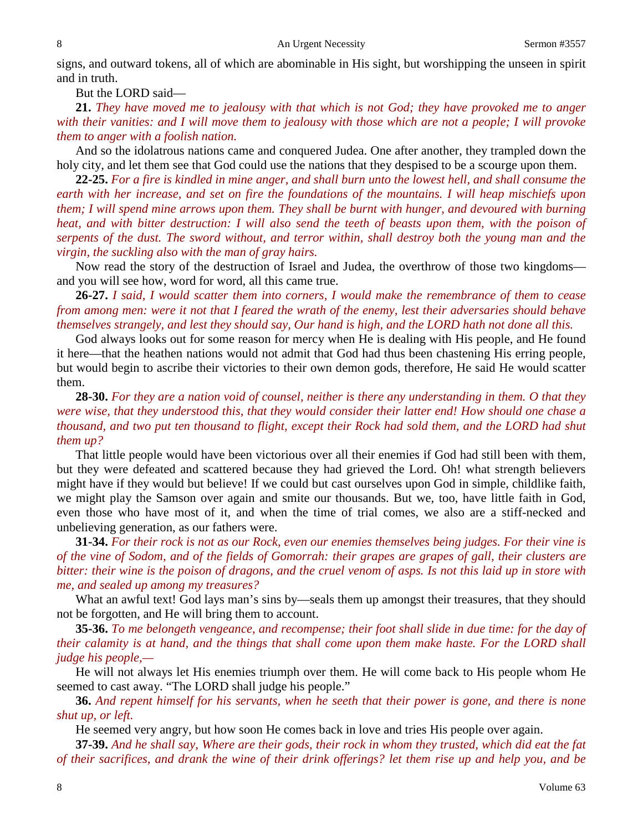signs, and outward tokens, all of which are abominable in His sight, but worshipping the unseen in spirit and in truth.

But the LORD said—

**21.** *They have moved me to jealousy with that which is not God; they have provoked me to anger with their vanities: and I will move them to jealousy with those which are not a people; I will provoke them to anger with a foolish nation.*

And so the idolatrous nations came and conquered Judea. One after another, they trampled down the holy city, and let them see that God could use the nations that they despised to be a scourge upon them.

**22-25.** *For a fire is kindled in mine anger, and shall burn unto the lowest hell, and shall consume the earth with her increase, and set on fire the foundations of the mountains. I will heap mischiefs upon them; I will spend mine arrows upon them. They shall be burnt with hunger, and devoured with burning heat, and with bitter destruction: I will also send the teeth of beasts upon them, with the poison of serpents of the dust. The sword without, and terror within, shall destroy both the young man and the virgin, the suckling also with the man of gray hairs.*

Now read the story of the destruction of Israel and Judea, the overthrow of those two kingdoms and you will see how, word for word, all this came true.

**26-27.** *I said, I would scatter them into corners, I would make the remembrance of them to cease from among men: were it not that I feared the wrath of the enemy, lest their adversaries should behave themselves strangely, and lest they should say, Our hand is high, and the LORD hath not done all this.*

God always looks out for some reason for mercy when He is dealing with His people, and He found it here—that the heathen nations would not admit that God had thus been chastening His erring people, but would begin to ascribe their victories to their own demon gods, therefore, He said He would scatter them.

**28-30.** *For they are a nation void of counsel, neither is there any understanding in them. O that they were wise, that they understood this, that they would consider their latter end! How should one chase a thousand, and two put ten thousand to flight, except their Rock had sold them, and the LORD had shut them up?*

That little people would have been victorious over all their enemies if God had still been with them, but they were defeated and scattered because they had grieved the Lord. Oh! what strength believers might have if they would but believe! If we could but cast ourselves upon God in simple, childlike faith, we might play the Samson over again and smite our thousands. But we, too, have little faith in God, even those who have most of it, and when the time of trial comes, we also are a stiff-necked and unbelieving generation, as our fathers were.

**31-34.** *For their rock is not as our Rock, even our enemies themselves being judges. For their vine is of the vine of Sodom, and of the fields of Gomorrah: their grapes are grapes of gall, their clusters are bitter: their wine is the poison of dragons, and the cruel venom of asps. Is not this laid up in store with me, and sealed up among my treasures?*

What an awful text! God lays man's sins by—seals them up amongst their treasures, that they should not be forgotten, and He will bring them to account.

**35-36.** *To me belongeth vengeance, and recompense; their foot shall slide in due time: for the day of their calamity is at hand, and the things that shall come upon them make haste. For the LORD shall judge his people,—*

He will not always let His enemies triumph over them. He will come back to His people whom He seemed to cast away. "The LORD shall judge his people."

**36.** *And repent himself for his servants, when he seeth that their power is gone, and there is none shut up, or left.*

He seemed very angry, but how soon He comes back in love and tries His people over again.

**37-39.** *And he shall say, Where are their gods, their rock in whom they trusted, which did eat the fat of their sacrifices, and drank the wine of their drink offerings? let them rise up and help you, and be*